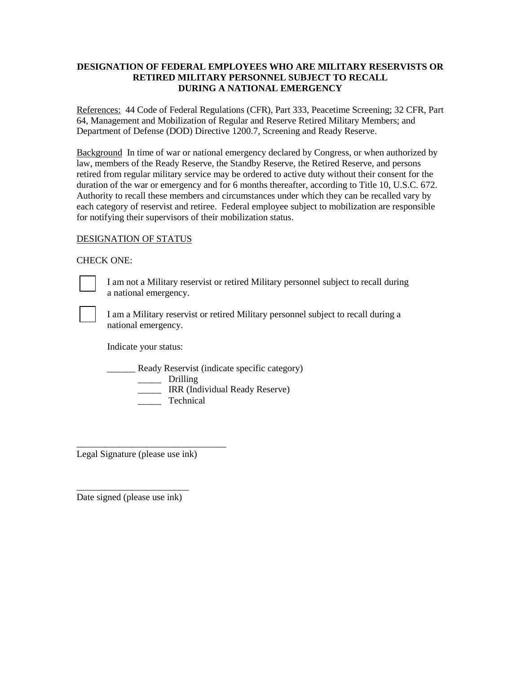## **DESIGNATION OF FEDERAL EMPLOYEES WHO ARE MILITARY RESERVISTS OR RETIRED MILITARY PERSONNEL SUBJECT TO RECALL DURING A NATIONAL EMERGENCY**

References: 44 Code of Federal Regulations (CFR), Part 333, Peacetime Screening; 32 CFR, Part 64, Management and Mobilization of Regular and Reserve Retired Military Members; and Department of Defense (DOD) Directive 1200.7, Screening and Ready Reserve.

Background In time of war or national emergency declared by Congress, or when authorized by law, members of the Ready Reserve, the Standby Reserve, the Retired Reserve, and persons retired from regular military service may be ordered to active duty without their consent for the duration of the war or emergency and for 6 months thereafter, according to Title 10, U.S.C. 672. Authority to recall these members and circumstances under which they can be recalled vary by each category of reservist and retiree. Federal employee subject to mobilization are responsible for notifying their supervisors of their mobilization status.

## DESIGNATION OF STATUS

## CHECK ONE:



I am not a Military reservist or retired Military personnel subject to recall during a national emergency.

I am a Military reservist or retired Military personnel subject to recall during a national emergency.

Indicate your status:

**EXECUTE:** Ready Reservist (indicate specific category)

\_\_\_\_\_ Drilling

**IRR** (Individual Ready Reserve)

Technical

Legal Signature (please use ink)

\_\_\_\_\_\_\_\_\_\_\_\_\_\_\_\_\_\_\_\_\_\_\_\_\_\_\_\_\_\_\_\_

\_\_\_\_\_\_\_\_\_\_\_\_\_\_\_\_\_\_\_\_\_\_\_\_ Date signed (please use ink)